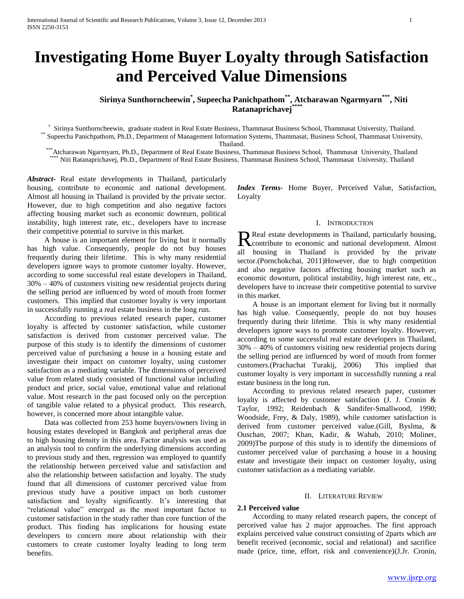# **Investigating Home Buyer Loyalty through Satisfaction and Perceived Value Dimensions**

**Sirinya Sunthorncheewin\* , Supeecha Panichpathom\*\*, Atcharawan Ngarmyarn\*\*\* , Niti Ratanaprichavej\*\*\*\***

\* Sirinya Sunthorncheewin, graduate student in Real Estate Business, Thammasat Business School, Thammasat University, Thailand. \*\* Supeecha Panichpathom, Ph.D., Department of Management Information Systems, Thammasat, Business School, Thammasat University,

Thailand.

\*\*\*Atcharawan Ngarmyarn, Ph.D., Department of Real Estate Business, Thammasat Business School, Thammasat University, Thailand Niti Ratanaprichavej, Ph.D., Department of Real Estate Business, Thammasat Business School, Thammasat University, Thailand

*Abstract***-** Real estate developments in Thailand, particularly housing, contribute to economic and national development. Almost all housing in Thailand is provided by the private sector. However, due to high competition and also negative factors affecting housing market such as economic downturn, political instability, high interest rate, etc., developers have to increase their competitive potential to survive in this market.

 A house is an important element for living but it normally has high value. Consequently, people do not buy houses frequently during their lifetime. This is why many residential developers ignore ways to promote customer loyalty. However, according to some successful real estate developers in Thailand, 30% – 40% of customers visiting new residential projects during the selling period are influenced by word of mouth from former customers. This implied that customer loyalty is very important in successfully running a real estate business in the long run.

 According to previous related research paper, customer loyalty is affected by customer satisfaction, while customer satisfaction is derived from customer perceived value. The purpose of this study is to identify the dimensions of customer perceived value of purchasing a house in a housing estate and investigate their impact on customer loyalty, using customer satisfaction as a mediating variable. The dimensions of perceived value from related study consisted of functional value including product and price, social value, emotional value and relational value. Most research in the past focused only on the perception of tangible value related to a physical product. This research, however, is concerned more about intangible value.

 Data was collected from 253 home buyers/owners living in housing estates developed in Bangkok and peripheral areas due to high housing density in this area. Factor analysis was used as an analysis tool to confirm the underlying dimensions according to previous study and then, regression was employed to quantify the relationship between perceived value and satisfaction and also the relationship between satisfaction and loyalty. The study found that all dimensions of customer perceived value from previous study have a positive impact on both customer satisfaction and loyalty significantly. It's interesting that "relational value" emerged as the most important factor to customer satisfaction in the study rather than core function of the product. This finding has implications for housing estate developers to concern more about relationship with their customers to create customer loyalty leading to long term benefits.

*Index Terms*- Home Buyer, Perceived Value, Satisfaction, Loyalty

# I. INTRODUCTION

Real estate developments in Thailand, particularly housing, Real estate developments in Thailand, particularly housing,<br>
contribute to economic and national development. Almost all housing in Thailand is provided by the private sector.(Pornchokchai, 2011)However, due to high competition and also negative factors affecting housing market such as economic downturn, political instability, high interest rate, etc., developers have to increase their competitive potential to survive in this market.

 A house is an important element for living but it normally has high value. Consequently, people do not buy houses frequently during their lifetime. This is why many residential developers ignore ways to promote customer loyalty. However, according to some successful real estate developers in Thailand, 30% – 40% of customers visiting new residential projects during the selling period are influenced by word of mouth from former customers.(Prachachat Turakij, 2006) This implied that customer loyalty is very important in successfully running a real estate business in the long run.

 According to previous related research paper, customer loyalty is affected by customer satisfaction (J. J. Cronin & Taylor, 1992; Reidenbach & Sandifer-Smallwood, 1990; Woodside, Frey, & Daly, 1989), while customer satisfaction is derived from customer perceived value.(Gill, Byslma, & Ouschan, 2007; Khan, Kadir, & Wahab, 2010; Moliner, 2009)The purpose of this study is to identify the dimensions of customer perceived value of purchasing a house in a housing estate and investigate their impact on customer loyalty, using customer satisfaction as a mediating variable.

#### II. LITERATURE REVIEW

# **2.1 Perceived value**

 According to many related research papers, the concept of perceived value has 2 major approaches. The first approach explains perceived value construct consisting of 2parts which are benefit received (economic, social and relational) and sacrifice made (price, time, effort, risk and convenience)(J.Jr. Cronin,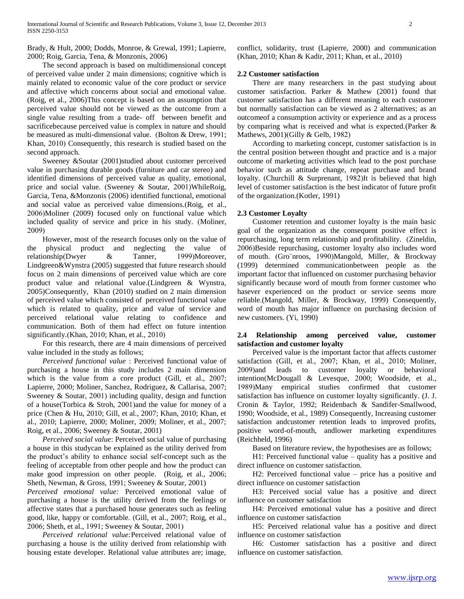Brady, & Hult, 2000; Dodds, Monroe, & Grewal, 1991; Lapierre, 2000; Roig, Garcia, Tena, & Monzonis, 2006)

 The second approach is based on multidimensional concept of perceived value under 2 main dimensions; cognitive which is mainly related to economic value of the core product or service and affective which concerns about social and emotional value. (Roig, et al., 2006)This concept is based on an assumption that perceived value should not be viewed as the outcome from a single value resulting from a trade- off between benefit and sacrificebecause perceived value is complex in nature and should be measured as multi-dimensional value. (Bolton & Drew, 1991; Khan, 2010) Consequently, this research is studied based on the second approach.

 Sweeney &Soutar (2001)studied about customer perceived value in purchasing durable goods (furniture and car stereo) and identified dimensions of perceived value as quality, emotional, price and social value. (Sweeney & Soutar, 2001)WhileRoig, Garcia, Tena, &Monzonis (2006) identified functional, emotional and social value as perceived value dimensions.(Roig, et al., 2006)Moliner (2009) focused only on functional value which included quality of service and price in his study. (Moliner, 2009)

 However, most of the research focuses only on the value of the physical product and neglecting the value of relationship(Dwyer & Tanner, 1999)Moreover, Lindgreen&Wynstra (2005) suggested that future research should focus on 2 main dimensions of perceived value which are core product value and relational value.(Lindgreen & Wynstra, 2005)Consequently, Khan (2010) studied on 2 main dimension of perceived value which consisted of perceived functional value which is related to quality, price and value of service and perceived relational value relating to confidence and communication. Both of them had effect on future intention significantly.(Khan, 2010; Khan, et al., 2010)

 For this research, there are 4 main dimensions of perceived value included in the study as follows;

 *Perceived functional value* : Perceived functional value of purchasing a house in this study includes 2 main dimension which is the value from a core product (Gill, et al., 2007; Lapierre, 2000; Moliner, Sanchez, Rodriguez, & Callarisa, 2007; Sweeney & Soutar, 2001) including quality, design and function of a house(Torbica & Stroh, 2001)and the value for money of a price (Chen & Hu, 2010; Gill, et al., 2007; Khan, 2010; Khan, et al., 2010; Lapierre, 2000; Moliner, 2009; Moliner, et al., 2007; Roig, et al., 2006; Sweeney & Soutar, 2001)

 *Perceived social value*: Perceived social value of purchasing a house in this studycan be explained as the utility derived from the product's ability to enhance social self-concept such as the feeling of acceptable from other people and how the product can make good impression on other people. (Roig, et al., 2006; Sheth, Newman, & Gross, 1991; Sweeney & Soutar, 2001)

*Perceived emotional value:* Perceived emotional value of purchasing a house is the utility derived from the feelings or affective states that a purchased house generates such as feeling good, like, happy or comfortable. (Gill, et al., 2007; Roig, et al., 2006; Sheth, et al., 1991; Sweeney & Soutar, 2001)

 *Perceived relational value:*Perceived relational value of purchasing a house is the utility derived from relationship with housing estate developer. Relational value attributes are; image,

conflict, solidarity, trust (Lapierre, 2000) and communication (Khan, 2010; Khan & Kadir, 2011; Khan, et al., 2010)

# **2.2 Customer satisfaction**

 There are many researchers in the past studying about customer satisfaction. Parker & Mathew (2001) found that customer satisfaction has a different meaning to each customer but normally satisfaction can be viewed as 2 alternatives; as an outcomeof a consumption activity or experience and as a process by comparing what is received and what is expected.(Parker & Mathews, 2001)(Gilly & Gelb, 1982)

 According to marketing concept, customer satisfaction is in the central position between thought and practice and is a major outcome of marketing activities which lead to the post purchase behavior such as attitude change, repeat purchase and brand loyalty. (Churchill & Surprenant, 1982)It is believed that high level of customer satisfaction is the best indicator of future profit of the organization.(Kotler, 1991)

# **2.3 Customer Loyalty**

 Customer retention and customer loyalty is the main basic goal of the organization as the consequent positive effect is repurchasing, long term relationship and profitability. (Zineldin, 2006)Beside repurchasing, customer loyalty also includes word of mouth. (Gro¨nroos, 1990)Mangold, Miller, & Brockway (1999) determined communicationbetween people as the important factor that influenced on customer purchasing behavior significantly because word of mouth from former customer who hasever experienced on the product or service seems more reliable.(Mangold, Miller, & Brockway, 1999) Consequently, word of mouth has major influence on purchasing decision of new customers. (Yi, 1990)

# **2.4 Relationship among perceived value, customer satisfaction and customer loyalty**

 Perceived value is the important factor that affects customer satisfaction (Gill, et al., 2007; Khan, et al., 2010; Moliner, 2009)and leads to customer loyalty or behavioral intention(McDougall & Levesque, 2000; Woodside, et al., 1989)Many empirical studies confirmed that customer satisfaction has influence on customer loyalty significantly. (J. J. Cronin & Taylor, 1992; Reidenbach & Sandifer-Smallwood, 1990; Woodside, et al., 1989) Consequently, Increasing customer satisfaction andcustomer retention leads to improved profits, positive word-of-mouth, andlower marketing expenditures (Reichheld, 1996)

Based on literature review, the hypothesises are as follows;

 H1: Perceived functional value – quality has a positive and direct influence on customer satisfaction.

 H2: Perceived functional value – price has a positive and direct influence on customer satisfaction

 H3: Perceived social value has a positive and direct influence on customer satisfaction

 H4: Perceived emotional value has a positive and direct influence on customer satisfaction

 H5: Perceived relational value has a positive and direct influence on customer satisfaction

 H6: Customer satisfaction has a positive and direct influence on customer satisfaction.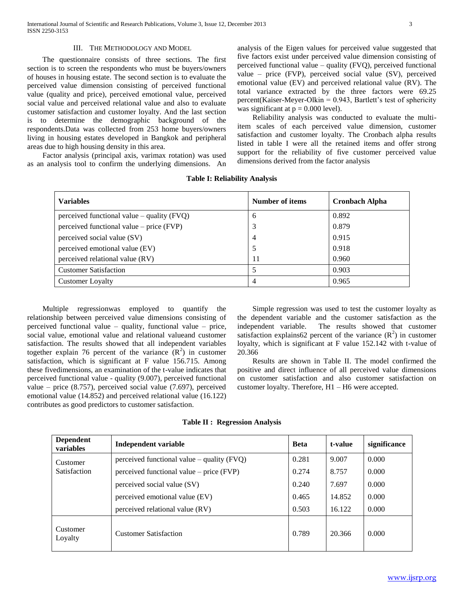International Journal of Scientific and Research Publications, Volume 3, Issue 12, December 2013 3 ISSN 2250-3153

### III. THE METHODOLOGY AND MODEL

 The questionnaire consists of three sections. The first section is to screen the respondents who must be buyers/owners of houses in housing estate. The second section is to evaluate the perceived value dimension consisting of perceived functional value (quality and price), perceived emotional value, perceived social value and perceived relational value and also to evaluate customer satisfaction and customer loyalty. And the last section is to determine the demographic background of the respondents.Data was collected from 253 home buyers/owners living in housing estates developed in Bangkok and peripheral areas due to high housing density in this area.

 Factor analysis (principal axis, varimax rotation) was used as an analysis tool to confirm the underlying dimensions. An analysis of the Eigen values for perceived value suggested that five factors exist under perceived value dimension consisting of perceived functional value – quality (FVQ), perceived functional value – price (FVP), perceived social value (SV), perceived emotional value (EV) and perceived relational value (RV). The total variance extracted by the three factors were 69.25 percent(Kaiser-Meyer-Olkin = 0.943, Bartlett's test of sphericity was significant at  $p = 0.000$  level).

 Reliability analysis was conducted to evaluate the multiitem scales of each perceived value dimension, customer satisfaction and customer loyalty. The Cronbach alpha results listed in table I were all the retained items and offer strong support for the reliability of five customer perceived value dimensions derived from the factor analysis

| <b>Variables</b>                             | Number of items | <b>Cronbach Alpha</b> |
|----------------------------------------------|-----------------|-----------------------|
| perceived functional value – quality $(FVQ)$ | 6               | 0.892                 |
| perceived functional value $-$ price (FVP)   | 3               | 0.879                 |
| perceived social value (SV)                  | $\overline{4}$  | 0.915                 |
| perceived emotional value (EV)               | 5               | 0.918                 |
| perceived relational value (RV)              | 11              | 0.960                 |
| <b>Customer Satisfaction</b>                 | 5               | 0.903                 |
| <b>Customer Loyalty</b>                      | 4               | 0.965                 |

**Table I: Reliability Analysis**

 Multiple regressionwas employed to quantify the relationship between perceived value dimensions consisting of perceived functional value – quality, functional value – price, social value, emotional value and relational valueand customer satisfaction. The results showed that all independent variables together explain 76 percent of the variance  $(R^2)$  in customer satisfaction, which is significant at F value 156.715. Among these fivedimensions, an examination of the t-value indicates that perceived functional value - quality (9.007), perceived functional value – price (8.757), perceived social value (7.697), perceived emotional value (14.852) and perceived relational value (16.122) contributes as good predictors to customer satisfaction.

 Simple regression was used to test the customer loyalty as the dependent variable and the customer satisfaction as the independent variable. The results showed that customer satisfaction explains 62 percent of the variance  $(R^2)$  in customer loyalty, which is significant at F value 152.142 with t-value of 20.366

 Results are shown in Table II. The model confirmed the positive and direct influence of all perceived value dimensions on customer satisfaction and also customer satisfaction on customer loyalty. Therefore, H1 – H6 were accepted.

**Table II : Regression Analysis**

| <b>Dependent</b><br><b>variables</b> | <b>Independent variable</b>                  | <b>Beta</b> | t-value | significance |
|--------------------------------------|----------------------------------------------|-------------|---------|--------------|
| Customer<br>Satisfaction             | perceived functional value $-$ quality (FVQ) | 0.281       | 9.007   | 0.000        |
|                                      | perceived functional value $-$ price (FVP)   | 0.274       | 8.757   | 0.000        |
|                                      | perceived social value (SV)                  | 0.240       | 7.697   | 0.000        |
|                                      | perceived emotional value (EV)               | 0.465       | 14.852  | 0.000        |
|                                      | perceived relational value (RV)              | 0.503       | 16.122  | 0.000        |
| Customer<br>Loyalty                  | <b>Customer Satisfaction</b>                 | 0.789       | 20.366  | 0.000        |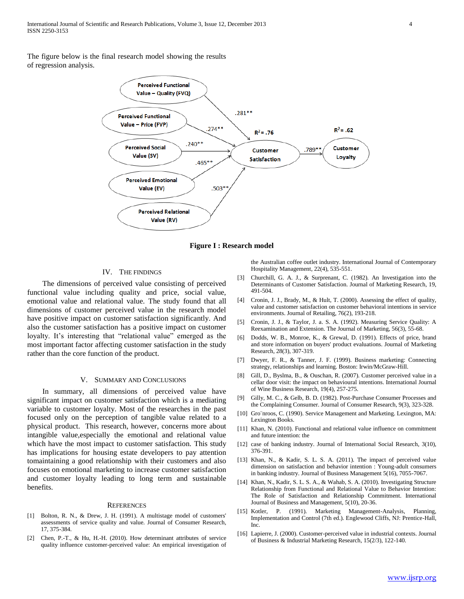The figure below is the final research model showing the results of regression analysis.



**Figure I : Research model**

#### IV. THE FINDINGS

 The dimensions of perceived value consisting of perceived functional value including quality and price, social value, emotional value and relational value. The study found that all dimensions of customer perceived value in the research model have positive impact on customer satisfaction significantly. And also the customer satisfaction has a positive impact on customer loyalty. It's interesting that "relational value" emerged as the most important factor affecting customer satisfaction in the study rather than the core function of the product.

#### V. SUMMARY AND CONCLUSIONS

 In summary, all dimensions of perceived value have significant impact on customer satisfaction which is a mediating variable to customer loyalty. Most of the researches in the past focused only on the perception of tangible value related to a physical product. This research, however, concerns more about intangible value,especially the emotional and relational value which have the most impact to customer satisfaction. This study has implications for housing estate developers to pay attention tomaintaining a good relationship with their customers and also focuses on emotional marketing to increase customer satisfaction and customer loyalty leading to long term and sustainable benefits.

#### **REFERENCES**

- [1] Bolton, R. N., & Drew, J. H. (1991). A multistage model of customers' assessments of service quality and value. Journal of Consumer Research, 17, 375-384.
- [2] Chen, P.-T., & Hu, H.-H. (2010). How determinant attributes of service quality influence customer-perceived value: An empirical investigation of

the Australian coffee outlet industry. International Journal of Contemporary Hospitality Management, 22(4), 535-551.

- [3] Churchill, G. A. J., & Surprenant, C. (1982). An Investigation into the Determinants of Customer Satisfaction. Journal of Marketing Research, 19, 491-504.
- [4] Cronin, J. J., Brady, M., & Hult, T. (2000). Assessing the effect of quality, value and customer satisfaction on customer behavioral intentions in service environments. Journal of Retailing, 76(2), 193-218.
- [5] Cronin, J. J., & Taylor, J. a. S. A. (1992). Measuring Service Quality: A Reexamination and Extension. The Journal of Marketing, 56(3), 55-68.
- [6] Dodds, W. B., Monroe, K., & Grewal, D. (1991). Effects of price, brand and store information on buyers' product evaluations. Journal of Marketing Research, 28(3), 307-319.
- [7] Dwyer, F. R., & Tanner, J. F. (1999). Business marketing: Connecting strategy, relationships and learning. Boston: Irwin/McGraw-Hill.
- [8] Gill, D., Byslma, B., & Ouschan, R. (2007). Customer perceived value in a cellar door visit: the impact on behavioural intentions. International Journal of Wine Business Research, 19(4), 257-275.
- [9] Gilly, M. C., & Gelb, B. D. (1982). Post-Purchase Consumer Processes and the Complaining Consumer. Journal of Consumer Research, 9(3), 323-328.
- [10] Gro"nroos, C. (1990). Service Management and Marketing. Lexington, MA: Lexington Books.
- [11] Khan, N. (2010). Functional and relational value influence on commitment and future intention: the
- [12] case of banking industry. Journal of International Social Research, 3(10), 376-391.
- [13] Khan, N., & Kadir, S. L. S. A. (2011). The impact of perceived value dimension on satisfaction and behavior intention : Young-adult consumers in banking industry. Journal of Business Management 5(16), 7055-7067.
- [14] Khan, N., Kadir, S. L. S. A., & Wahab, S. A. (2010). Investigating Structure Relationship from Functional and Relational Value to Behavior Intention: The Role of Satisfaction and Relationship Commitment. International Journal of Business and Management, 5(10), 20-36.
- [15] Kotler, P. (1991). Marketing Management-Analysis, Planning, Implementation and Control (7th ed.). Englewood Cliffs, NJ: Prentice-Hall, Inc.
- [16] Lapierre, J. (2000). Customer-perceived value in industrial contexts. Journal of Business & Industrial Marketing Research, 15(2/3), 122-140.